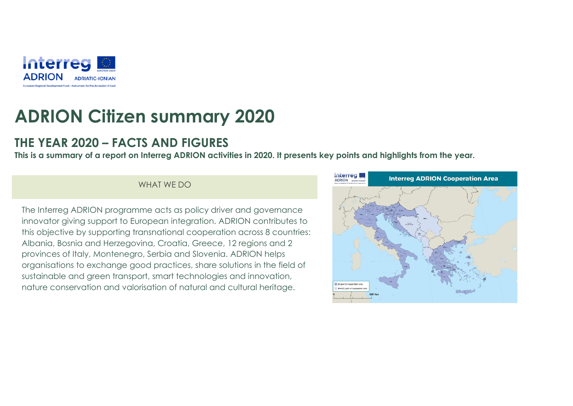

# **ADRION Citizen summary 2020**

#### **THE YEAR 2020 – FACTS AND FIGURES**

**This is a summary of a report on Interreg ADRION activities in 2020. It presents key points and highlights from the year.**

#### WHAT WE DO

The Interreg ADRION programme acts as policy driver and governance innovator giving support to European integration. ADRION contributes to this objective by supporting transnational cooperation across 8 countries: Albania, Bosnia and Herzegovina, Croatia, Greece, 12 regions and 2 provinces of Italy, Montenegro, Serbia and Slovenia. ADRION helps organisations to exchange good practices, share solutions in the field of sustainable and green transport, smart technologies and innovation, nature conservation and valorisation of natural and cultural heritage.

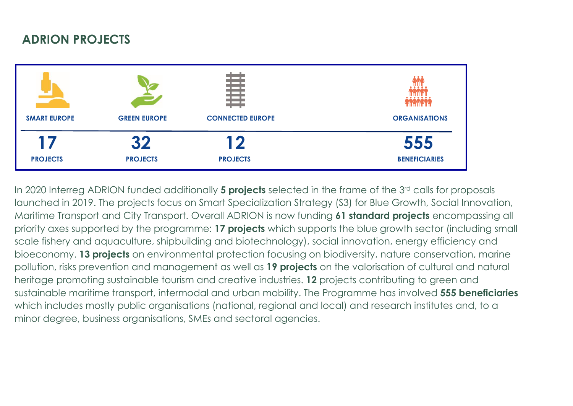#### **ADRION PROJECTS**



In 2020 Interreg ADRION funded additionally **5 projects** selected in the frame of the 3rd calls for proposals launched in 2019. The projects focus on Smart Specialization Strategy (S3) for Blue Growth, Social Innovation, Maritime Transport and City Transport. Overall ADRION is now funding **61 standard projects** encompassing all priority axes supported by the programme: **17 projects** which supports the blue growth sector (including small scale fishery and aquaculture, shipbuilding and biotechnology), social innovation, energy efficiency and bioeconomy. **13 projects** on environmental protection focusing on biodiversity, nature conservation, marine pollution, risks prevention and management as well as **19 projects** on the valorisation of cultural and natural heritage promoting sustainable tourism and creative industries. **12** projects contributing to green and sustainable maritime transport, intermodal and urban mobility. The Programme has involved **555 beneficiaries** which includes mostly public organisations (national, regional and local) and research institutes and, to a minor degree, business organisations, SMEs and sectoral agencies.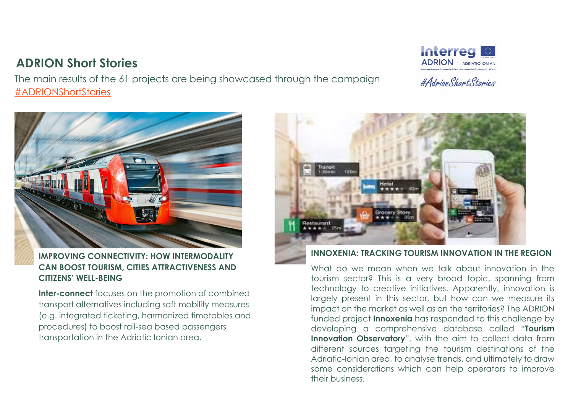### **ADRION Short Stories**

The main results of the 61 projects are being showcased through the campaign [#ADRIONShortStories](https://www.adrioninterreg.eu/index.php/projects/adrion-short-stories/)



**Inter-connect** focuses on the promotion of combined transport alternatives including soft mobility measures (e.g. integrated ticketing, harmonized timetables and procedures) to boost rail-sea based passengers transportation in the Adriatic Ionian area.

## **INNOXENIA: TRACKING TOURISM INNOVATION IN THE REGION**

What do we mean when we talk about innovation in the tourism sector? This is a very broad topic, spanning from technology to creative initiatives. Apparently, innovation is largely present in this sector, but how can we measure its impact on the market as well as on the territories? The ADRION funded project **Innoxenia** has responded to this challenge by developing a comprehensive database called "**Tourism Innovation Observatory**". with the aim to collect data from different sources targeting the tourism destinations of the Adriatic-Ionian area, to analyse trends, and ultimately to draw some considerations which can help operators to improve their business.





#AdrionShortStories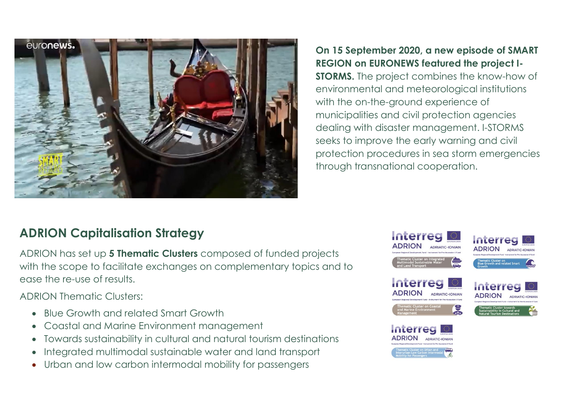

**On 15 September 2020, a new episode of SMART REGION on EURONEWS featured the project I-STORMS.** The project combines the know-how of environmental and meteorological institutions with the on-the-ground experience of municipalities and civil protection agencies dealing with disaster management. I-STORMS seeks to improve the early warning and civil protection procedures in sea storm emergencies through transnational cooperation.

#### **ADRION Capitalisation Strategy**

ADRION has set up **5 Thematic Clusters** composed of funded projects with the scope to facilitate exchanges on complementary topics and to ease the re-use of results.

ADRION Thematic Clusters:

- Blue Growth and related Smart Growth
- Coastal and Marine Environment management
- Towards sustainability in cultural and natural tourism destinations
- Integrated multimodal sustainable water and land transport
- Urban and low carbon intermodal mobility for passengers

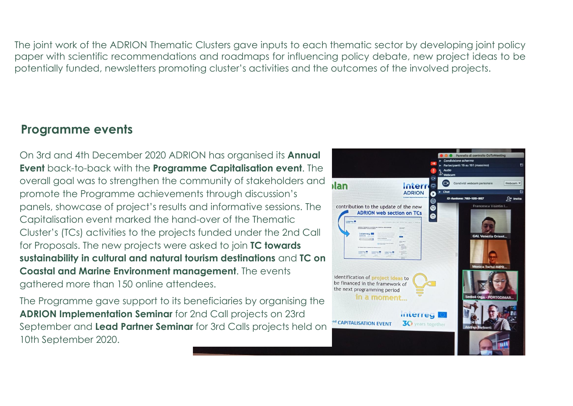The joint work of the ADRION Thematic Clusters gave inputs to each thematic sector by developing joint policy paper with scientific recommendations and roadmaps for influencing policy debate, new project ideas to be potentially funded, newsletters promoting cluster's activities and the outcomes of the involved projects.

#### **Programme events**

On 3rd and 4th December 2020 ADRION has organised its **Annual Event** back-to-back with the **Programme Capitalisation event**. The overall goal was to strengthen the community of stakeholders and promote the Programme achievements through discussion's panels, showcase of project's results and informative sessions. The Capitalisation event marked the hand-over of the Thematic Cluster's (TCs) activities to the projects funded under the 2nd Call for Proposals. The new projects were asked to join **TC towards sustainability in cultural and natural tourism destinations** and **TC on Coastal and Marine Environment management**. The events gathered more than 150 online attendees.

The Programme gave support to its beneficiaries by organising the **ADRION Implementation Seminar** for 2nd Call projects on 23rd September and **Lead Partner Seminar** for 3rd Calls projects held on 10th September 2020.